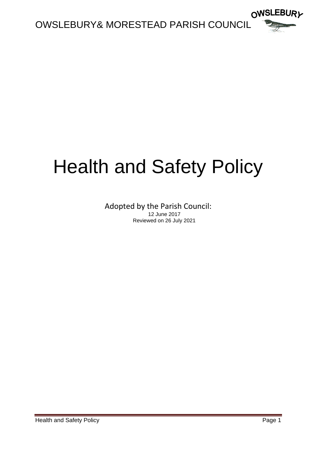

# Health and Safety Policy

Adopted by the Parish Council: 12 June 2017 Reviewed on 26 July 2021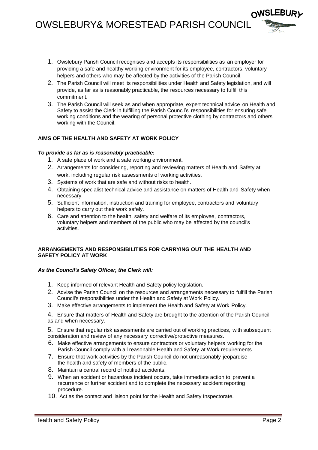## OWSLEBURY& MORESTEAD PARISH COUNCIL

- OWSLEBURL
- 1. Owslebury Parish Council recognises and accepts its responsibilities as an employer for providing a safe and healthy working environment for its employee, contractors, voluntary helpers and others who may be affected by the activities of the Parish Council.
- 2. The Parish Council will meet its responsibilities under Health and Safety legislation, and will provide, as far as is reasonably practicable, the resources necessary to fulfill this commitment.
- 3. The Parish Council will seek as and when appropriate, expert technical advice on Health and Safety to assist the Clerk in fulfilling the Parish Council's responsibilities for ensuring safe working conditions and the wearing of personal protective clothing by contractors and others working with the Council.

### **AIMS OF THE HEALTH AND SAFETY AT WORK POLICY**

#### *To provide as far as is reasonably practicable:*

- 1. A safe place of work and a safe working environment.
- 2. Arrangements for considering, reporting and reviewing matters of Health and Safety at work, including regular risk assessments of working activities.
- 3. Systems of work that are safe and without risks to health.
- 4. Obtaining specialist technical advice and assistance on matters of Health and Safety when necessary.
- 5. Sufficient information, instruction and training for employee, contractors and voluntary helpers to carry out their work safely.
- 6. Care and attention to the health, safety and welfare of its employee, contractors, voluntary helpers and members of the public who may be affected by the council's activities.

#### **ARRANGEMENTS AND RESPONSIBILITIES FOR CARRYING OUT THE HEALTH AND SAFETY POLICY AT WORK**

#### *As the Council's Safety Officer, the Clerk will:*

- 1. Keep informed of relevant Health and Safety policy legislation.
- 2. Advise the Parish Council on the resources and arrangements necessary to fulfill the Parish Council's responsibilities under the Health and Safety at Work Policy.
- 3. Make effective arrangements to implement the Health and Safety at Work Policy.

4. Ensure that matters of Health and Safety are brought to the attention of the Parish Council as and when necessary.

5. Ensure that regular risk assessments are carried out of working practices, with subsequent consideration and review of any necessary corrective/protective measures.

- 6. Make effective arrangements to ensure contractors or voluntary helpers working for the Parish Council comply with all reasonable Health and Safety at Work requirements.
- 7. Ensure that work activities by the Parish Council do not unreasonably jeopardise the health and safety of members of the public.
- 8. Maintain a central record of notified accidents.
- 9. When an accident or hazardous incident occurs, take immediate action to prevent a recurrence or further accident and to complete the necessary accident reporting procedure.
- 10. Act as the contact and liaison point for the Health and Safety Inspectorate.